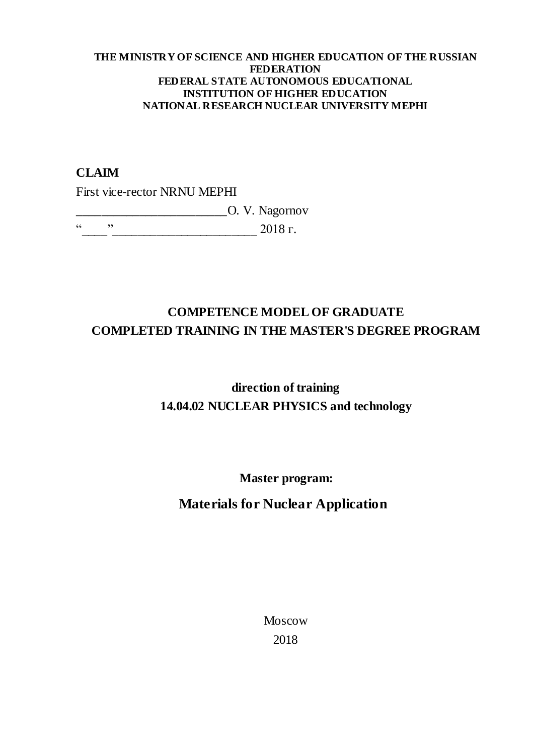#### **THE MINISTRY OF SCIENCE AND HIGHER EDUCATION OF THE RUSSIAN FEDERATION FEDERAL STATE AUTONOMOUS EDUCATIONAL INSTITUTION OF HIGHER EDUCATION NATIONAL RESEARCH NUCLEAR UNIVERSITY MEPHI**

### **CLAIM**

First vice-rector NRNU MEPHI

\_\_\_\_\_\_\_\_\_\_\_\_\_\_\_\_\_\_\_\_\_\_\_\_O. V. Nagornov

 $\frac{1}{2018}$   $\frac{1}{2018}$   $\frac{1}{2018}$   $\frac{1}{2018}$   $\frac{1}{2018}$   $\frac{1}{2018}$   $\frac{1}{2018}$   $\frac{1}{2018}$   $\frac{1}{2018}$   $\frac{1}{2018}$   $\frac{1}{2018}$   $\frac{1}{2018}$   $\frac{1}{2018}$   $\frac{1}{2018}$   $\frac{1}{2018}$   $\frac{1}{2018}$   $\frac{1}{2018}$ 

## **COMPETENCE MODEL OF GRADUATE COMPLETED TRAINING IN THE MASTER'S DEGREE PROGRAM**

# **direction of training 14.04.02 NUCLEAR PHYSICS and technology**

**Master program:** 

## **Materials for Nuclear Application**

Moscow 2018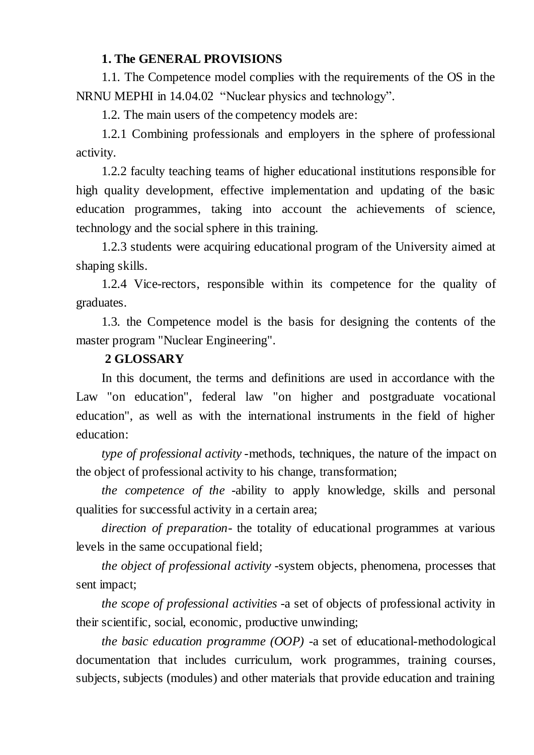### **1. The GENERAL PROVISIONS**

1.1. The Competence model complies with the requirements of the OS in the NRNU MEPHI in 14.04.02 "Nuclear physics and technology".

1.2. The main users of the competency models are:

1.2.1 Combining professionals and employers in the sphere of professional activity.

1.2.2 faculty teaching teams of higher educational institutions responsible for high quality development, effective implementation and updating of the basic education programmes, taking into account the achievements of science, technology and the social sphere in this training.

1.2.3 students were acquiring educational program of the University aimed at shaping skills.

1.2.4 Vice-rectors, responsible within its competence for the quality of graduates.

1.3. the Competence model is the basis for designing the contents of the master program "Nuclear Engineering".

## **2 GLOSSARY**

In this document, the terms and definitions are used in accordance with the Law "on education", federal law "on higher and postgraduate vocational education", as well as with the international instruments in the field of higher education:

*type of professional activity* -methods, techniques, the nature of the impact on the object of professional activity to his change, transformation;

*the competence of the* -ability to apply knowledge, skills and personal qualities for successful activity in a certain area;

*direction of preparation-* the totality of educational programmes at various levels in the same occupational field;

*the object of professional activity* -system objects, phenomena, processes that sent impact;

*the scope of professional activities* -a set of objects of professional activity in their scientific, social, economic, productive unwinding;

*the basic education programme (OOP)* -a set of educational-methodological documentation that includes curriculum, work programmes, training courses, subjects, subjects (modules) and other materials that provide education and training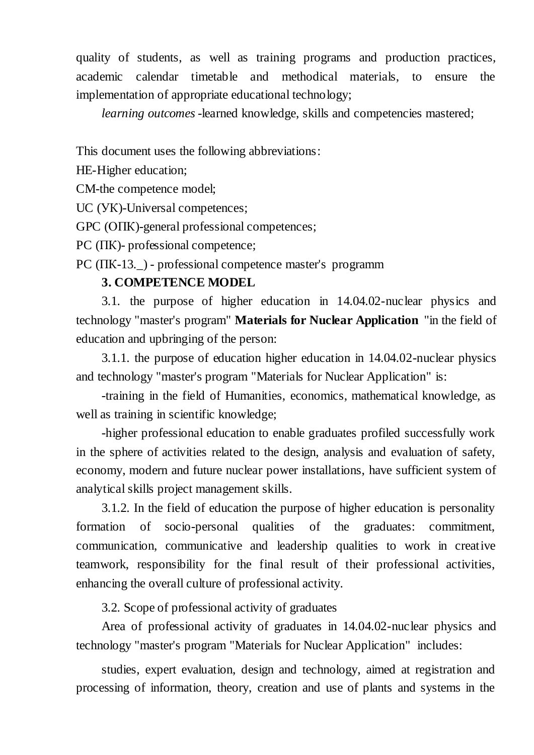quality of students, as well as training programs and production practices, academic calendar timetable and methodical materials, to ensure the implementation of appropriate educational technology;

*learning outcomes* -learned knowledge, skills and competencies mastered;

This document uses the following abbreviations:

HE-Higher education;

CM-the competence model;

UC (УК)-Universal competences;

GPC (ОПК)-general professional competences;

PC (ПК)- professional competence;

PC ( $\Pi$ K-13.) - professional competence master's programm

## **3. COMPETENCE MODEL**

3.1. the purpose of higher education in 14.04.02-nuclear physics and technology "master's program" **Materials for Nuclear Application** "in the field of education and upbringing of the person:

3.1.1. the purpose of education higher education in 14.04.02-nuclear physics and technology "master's program "Materials for Nuclear Application" is:

-training in the field of Humanities, economics, mathematical knowledge, as well as training in scientific knowledge;

-higher professional education to enable graduates profiled successfully work in the sphere of activities related to the design, analysis and evaluation of safety, economy, modern and future nuclear power installations, have sufficient system of analytical skills project management skills.

3.1.2. In the field of education the purpose of higher education is personality formation of socio-personal qualities of the graduates: commitment, communication, communicative and leadership qualities to work in creative teamwork, responsibility for the final result of their professional activities, enhancing the overall culture of professional activity.

3.2. Scope of professional activity of graduates

Area of professional activity of graduates in 14.04.02-nuclear physics and technology "master's program "Materials for Nuclear Application" includes:

studies, expert evaluation, design and technology, aimed at registration and processing of information, theory, creation and use of plants and systems in the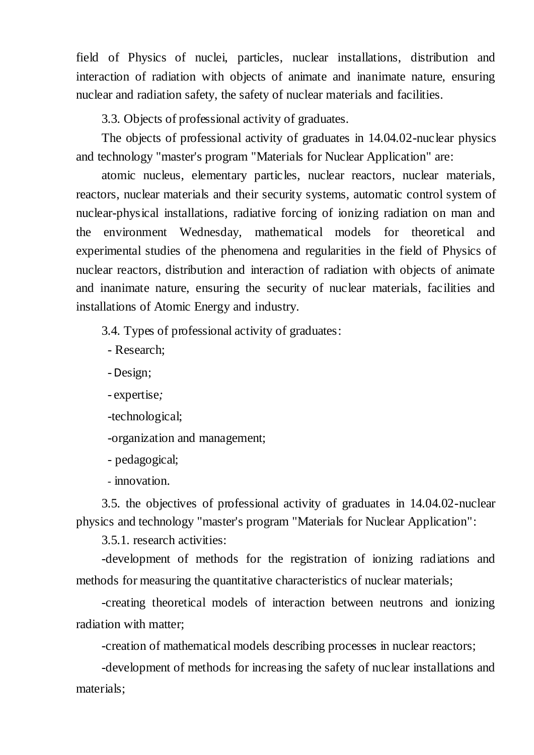field of Physics of nuclei, particles, nuclear installations, distribution and interaction of radiation with objects of animate and inanimate nature, ensuring nuclear and radiation safety, the safety of nuclear materials and facilities.

3.3. Objects of professional activity of graduates.

The objects of professional activity of graduates in 14.04.02-nuclear physics and technology "master's program "Materials for Nuclear Application" are:

atomic nucleus, elementary particles, nuclear reactors, nuclear materials, reactors, nuclear materials and their security systems, automatic control system of nuclear-physical installations, radiative forcing of ionizing radiation on man and the environment Wednesday, mathematical models for theoretical and experimental studies of the phenomena and regularities in the field of Physics of nuclear reactors, distribution and interaction of radiation with objects of animate and inanimate nature, ensuring the security of nuclear materials, facilities and installations of Atomic Energy and industry.

3.4. Types of professional activity of graduates:

- Research;

-Design;

- expertise*;*

-technological;

-organization and management;

- pedagogical;

- innovation.

3.5. the objectives of professional activity of graduates in 14.04.02-nuclear physics and technology "master's program "Materials for Nuclear Application":

3.5.1. research activities:

-development of methods for the registration of ionizing radiations and methods for measuring the quantitative characteristics of nuclear materials;

-creating theoretical models of interaction between neutrons and ionizing radiation with matter;

-creation of mathematical models describing processes in nuclear reactors;

-development of methods for increasing the safety of nuclear installations and materials;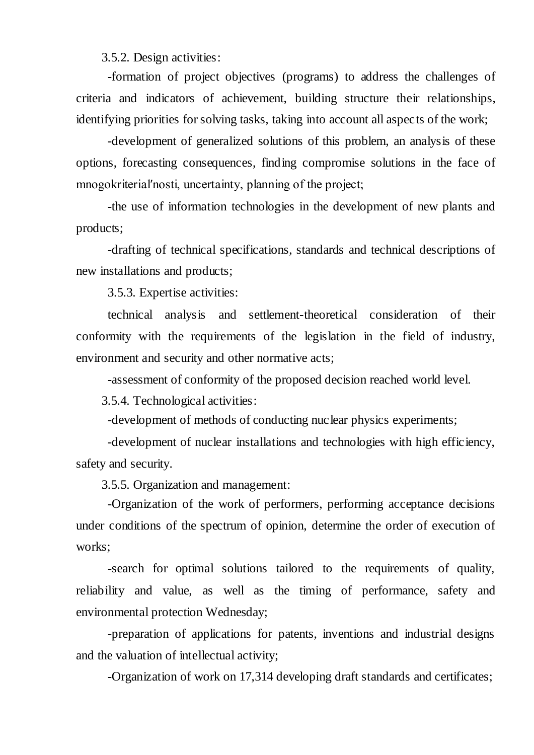3.5.2. Design activities:

-formation of project objectives (programs) to address the challenges of criteria and indicators of achievement, building structure their relationships, identifying priorities for solving tasks, taking into account all aspects of the work;

-development of generalized solutions of this problem, an analysis of these options, forecasting consequences, finding compromise solutions in the face of mnogokriterial′nosti, uncertainty, planning of the project;

-the use of information technologies in the development of new plants and products;

-drafting of technical specifications, standards and technical descriptions of new installations and products;

3.5.3. Expertise activities:

technical analysis and settlement-theoretical consideration of their conformity with the requirements of the legislation in the field of industry, environment and security and other normative acts;

-assessment of conformity of the proposed decision reached world level.

3.5.4. Technological activities:

-development of methods of conducting nuclear physics experiments;

-development of nuclear installations and technologies with high efficiency, safety and security.

3.5.5. Organization and management:

-Organization of the work of performers, performing acceptance decisions under conditions of the spectrum of opinion, determine the order of execution of works:

-search for optimal solutions tailored to the requirements of quality, reliability and value, as well as the timing of performance, safety and environmental protection Wednesday;

-preparation of applications for patents, inventions and industrial designs and the valuation of intellectual activity;

-Organization of work on 17,314 developing draft standards and certificates;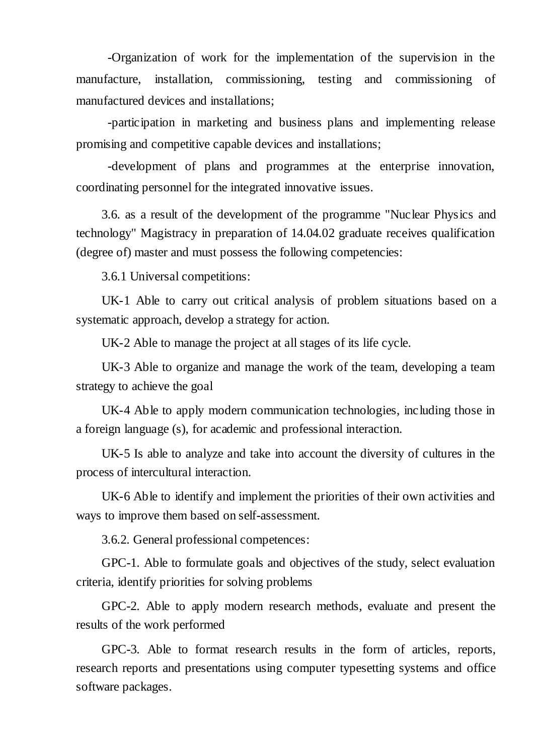-Organization of work for the implementation of the supervision in the manufacture, installation, commissioning, testing and commissioning of manufactured devices and installations;

-participation in marketing and business plans and implementing release promising and competitive capable devices and installations;

-development of plans and programmes at the enterprise innovation, coordinating personnel for the integrated innovative issues.

3.6. as a result of the development of the programme "Nuclear Physics and technology" Magistracy in preparation of 14.04.02 graduate receives qualification (degree of) master and must possess the following competencies:

3.6.1 Universal competitions:

UK-1 Able to carry out critical analysis of problem situations based on a systematic approach, develop a strategy for action.

UK-2 Able to manage the project at all stages of its life cycle.

UK-3 Able to organize and manage the work of the team, developing a team strategy to achieve the goal

UK-4 Able to apply modern communication technologies, including those in a foreign language (s), for academic and professional interaction.

UK-5 Is able to analyze and take into account the diversity of cultures in the process of intercultural interaction.

UK-6 Able to identify and implement the priorities of their own activities and ways to improve them based on self-assessment.

3.6.2. General professional competences:

GPC-1. Able to formulate goals and objectives of the study, select evaluation criteria, identify priorities for solving problems

GPC-2. Able to apply modern research methods, evaluate and present the results of the work performed

GPC-3. Able to format research results in the form of articles, reports, research reports and presentations using computer typesetting systems and office software packages.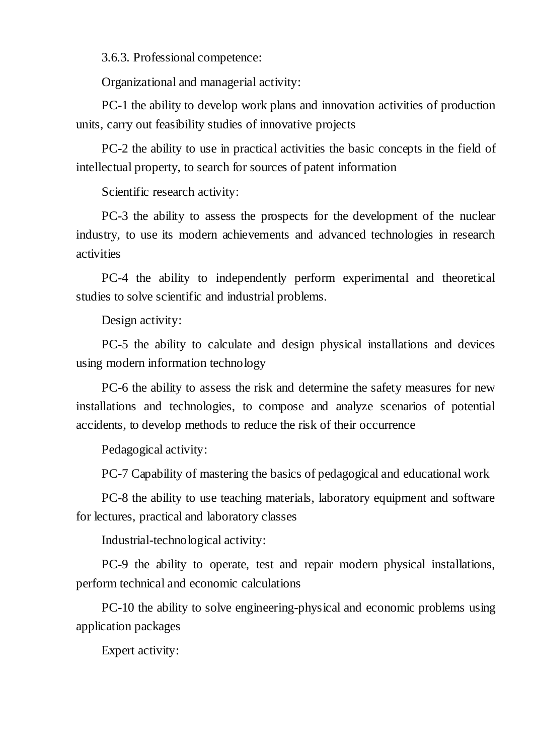3.6.3. Professional competence:

Organizational and managerial activity:

PC-1 the ability to develop work plans and innovation activities of production units, carry out feasibility studies of innovative projects

PC-2 the ability to use in practical activities the basic concepts in the field of intellectual property, to search for sources of patent information

Scientific research activity:

PC-3 the ability to assess the prospects for the development of the nuclear industry, to use its modern achievements and advanced technologies in research activities

PC-4 the ability to independently perform experimental and theoretical studies to solve scientific and industrial problems.

Design activity:

PC-5 the ability to calculate and design physical installations and devices using modern information technology

PC-6 the ability to assess the risk and determine the safety measures for new installations and technologies, to compose and analyze scenarios of potential accidents, to develop methods to reduce the risk of their occurrence

Pedagogical activity:

PC-7 Capability of mastering the basics of pedagogical and educational work

PC-8 the ability to use teaching materials, laboratory equipment and software for lectures, practical and laboratory classes

Industrial-technological activity:

PC-9 the ability to operate, test and repair modern physical installations, perform technical and economic calculations

PC-10 the ability to solve engineering-physical and economic problems using application packages

Expert activity: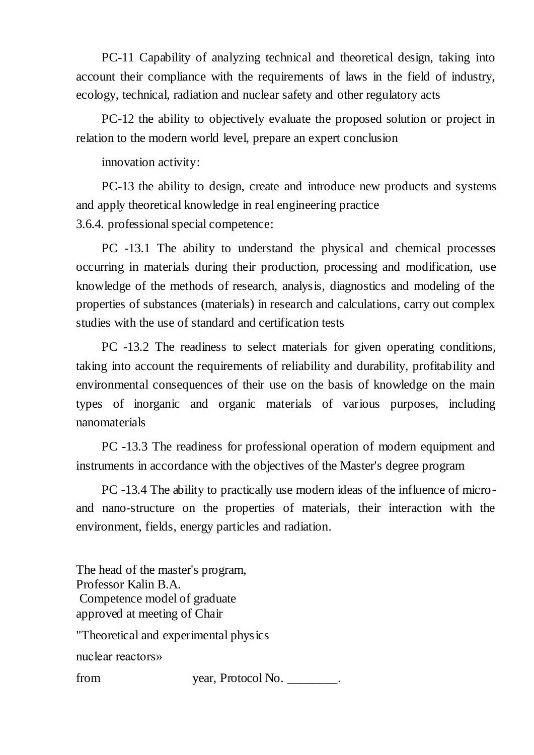PC-11 Capability of analyzing technical and theoretical design, taking into account their compliance with the requirements of laws in the field of industry, ecology, technical, radiation and nuclear safety and other regulatory acts

PC-12 the ability to objectively evaluate the proposed solution or project in relation to the modern world level, prepare an expert conclusion

innovation activity:

PC-13 the ability to design, create and introduce new products and systems and apply theoretical knowledge in real engineering practice 3.6.4. professional special competence:

PC -13.1 The ability to understand the physical and chemical processes occurring in materials during their production, processing and modification, use knowledge of the methods of research, analysis, diagnostics and modeling of the properties of substances (materials) in research and calculations, carry out complex studies with the use of standard and certification tests

PC -13.2 The readiness to select materials for given operating conditions, taking into account the requirements of reliability and durability, profitability and environmental consequences of their use on the basis of knowledge on the main types of inorganic and organic materials of various purposes, including nanomaterials

PC -13.3 The readiness for professional operation of modern equipment and instruments in accordance with the objectives of the Master's degree program

PC -13.4 The ability to practically use modern ideas of the influence of microand nano-structure on the properties of materials, their interaction with the environment, fields, energy particles and radiation.

The head of the master's program, Professor Kalin B.A. Competence model of graduate approved at meeting of Chair "Theoretical and experimental physics nuclear reactors» from year, Protocol No.